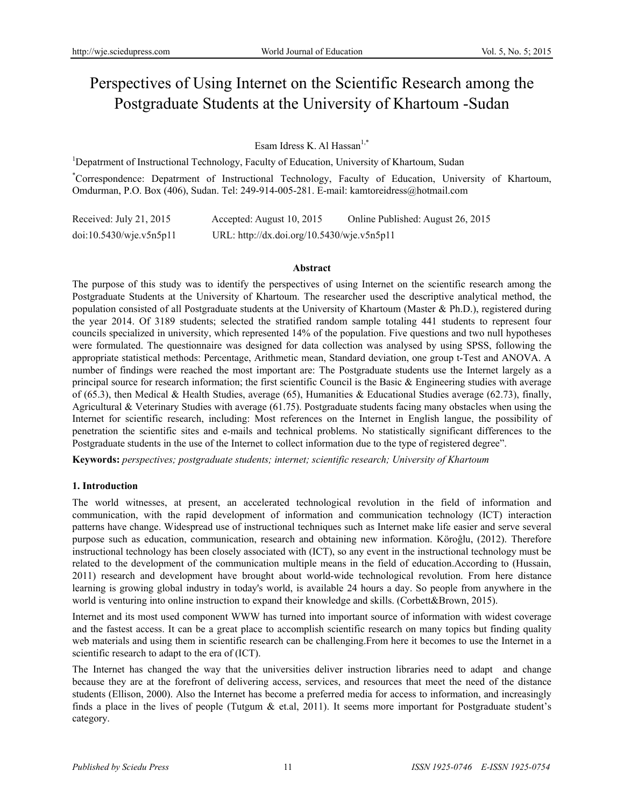# Perspectives of Using Internet on the Scientific Research among the Postgraduate Students at the University of Khartoum -Sudan

Esam Idress K. Al Hassan<sup>1,\*</sup>

<sup>1</sup>Depatrment of Instructional Technology, Faculty of Education, University of Khartoum, Sudan

\* Correspondence: Depatrment of Instructional Technology, Faculty of Education, University of Khartoum, Omdurman, P.O. Box (406), Sudan. Tel: 249-914-005-281. E-mail: kamtoreidress@hotmail.com

Received: July 21, 2015 Accepted: August 10, 2015 Online Published: August 26, 2015 doi:10.5430/wje.v5n5p11 URL: http://dx.doi.org/10.5430/wje.v5n5p11

#### **Abstract**

The purpose of this study was to identify the perspectives of using Internet on the scientific research among the Postgraduate Students at the University of Khartoum. The researcher used the descriptive analytical method, the population consisted of all Postgraduate students at the University of Khartoum (Master & Ph.D.), registered during the year 2014. Of 3189 students; selected the stratified random sample totaling 441 students to represent four councils specialized in university, which represented 14% of the population. Five questions and two null hypotheses were formulated. The questionnaire was designed for data collection was analysed by using SPSS, following the appropriate statistical methods: Percentage, Arithmetic mean, Standard deviation, one group t-Test and ANOVA. A number of findings were reached the most important are: The Postgraduate students use the Internet largely as a principal source for research information; the first scientific Council is the Basic  $\&$  Engineering studies with average of (65.3), then Medical & Health Studies, average (65), Humanities & Educational Studies average (62.73), finally, Agricultural & Veterinary Studies with average (61.75). Postgraduate students facing many obstacles when using the Internet for scientific research, including: Most references on the Internet in English langue, the possibility of penetration the scientific sites and e-mails and technical problems. No statistically significant differences to the Postgraduate students in the use of the Internet to collect information due to the type of registered degree".

**Keywords:** *perspectives; postgraduate students; internet; scientific research; University of Khartoum*

#### **1. Introduction**

The world witnesses, at present, an accelerated technological revolution in the field of information and communication, with the rapid development of information and communication technology (ICT) interaction patterns have change. Widespread use of instructional techniques such as Internet make life easier and serve several purpose such as education, communication, research and obtaining new information. Köroĝlu, (2012). Therefore instructional technology has been closely associated with (ICT), so any event in the instructional technology must be related to the development of the communication multiple means in the field of education.According to (Hussain, 2011) research and development have brought about world-wide technological revolution. From here distance learning is growing global industry in today's world, is available 24 hours a day. So people from anywhere in the world is venturing into online instruction to expand their knowledge and skills. (Corbett&Brown, 2015).

Internet and its most used component WWW has turned into important source of information with widest coverage and the fastest access. It can be a great place to accomplish scientific research on many topics but finding quality web materials and using them in scientific research can be challenging.From here it becomes to use the Internet in a scientific research to adapt to the era of (ICT).

The Internet has changed the way that the universities deliver instruction libraries need to adapt and change because they are at the forefront of delivering access, services, and resources that meet the need of the distance students (Ellison, 2000). Also the Internet has become a preferred media for access to information, and increasingly finds a place in the lives of people (Tutgum  $\&$  et.al, 2011). It seems more important for Postgraduate student's category.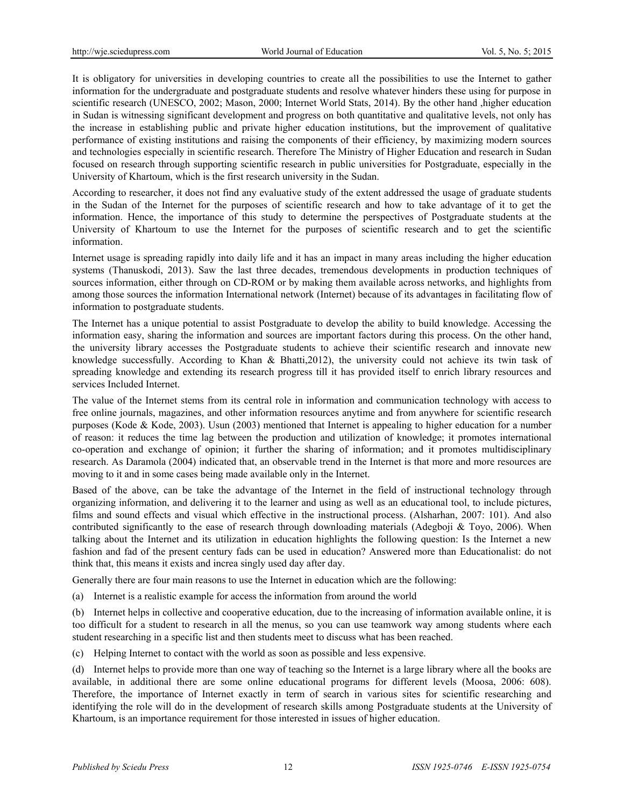It is obligatory for universities in developing countries to create all the possibilities to use the Internet to gather information for the undergraduate and postgraduate students and resolve whatever hinders these using for purpose in scientific research (UNESCO, 2002; Mason, 2000; Internet World Stats, 2014). By the other hand ,higher education in Sudan is witnessing significant development and progress on both quantitative and qualitative levels, not only has the increase in establishing public and private higher education institutions, but the improvement of qualitative performance of existing institutions and raising the components of their efficiency, by maximizing modern sources and technologies especially in scientific research. Therefore The Ministry of Higher Education and research in Sudan focused on research through supporting scientific research in public universities for Postgraduate, especially in the University of Khartoum, which is the first research university in the Sudan.

According to researcher, it does not find any evaluative study of the extent addressed the usage of graduate students in the Sudan of the Internet for the purposes of scientific research and how to take advantage of it to get the information. Hence, the importance of this study to determine the perspectives of Postgraduate students at the University of Khartoum to use the Internet for the purposes of scientific research and to get the scientific information.

Internet usage is spreading rapidly into daily life and it has an impact in many areas including the higher education systems (Thanuskodi, 2013). Saw the last three decades, tremendous developments in production techniques of sources information, either through on CD-ROM or by making them available across networks, and highlights from among those sources the information International network (Internet) because of its advantages in facilitating flow of information to postgraduate students.

The Internet has a unique potential to assist Postgraduate to develop the ability to build knowledge. Accessing the information easy, sharing the information and sources are important factors during this process. On the other hand, the university library accesses the Postgraduate students to achieve their scientific research and innovate new knowledge successfully. According to Khan & Bhatti,2012), the university could not achieve its twin task of spreading knowledge and extending its research progress till it has provided itself to enrich library resources and services Included Internet.

The value of the Internet stems from its central role in information and communication technology with access to free online journals, magazines, and other information resources anytime and from anywhere for scientific research purposes (Kode & Kode, 2003). Usun (2003) mentioned that Internet is appealing to higher education for a number of reason: it reduces the time lag between the production and utilization of knowledge; it promotes international co-operation and exchange of opinion; it further the sharing of information; and it promotes multidisciplinary research. As Daramola (2004) indicated that, an observable trend in the Internet is that more and more resources are moving to it and in some cases being made available only in the Internet.

Based of the above, can be take the advantage of the Internet in the field of instructional technology through organizing information, and delivering it to the learner and using as well as an educational tool, to include pictures, films and sound effects and visual which effective in the instructional process. (Alsharhan, 2007: 101). And also contributed significantly to the ease of research through downloading materials (Adegboji & Toyo, 2006). When talking about the Internet and its utilization in education highlights the following question: Is the Internet a new fashion and fad of the present century fads can be used in education? Answered more than Educationalist: do not think that, this means it exists and increa singly used day after day.

Generally there are four main reasons to use the Internet in education which are the following:

(a) Internet is a realistic example for access the information from around the world

(b) Internet helps in collective and cooperative education, due to the increasing of information available online, it is too difficult for a student to research in all the menus, so you can use teamwork way among students where each student researching in a specific list and then students meet to discuss what has been reached.

(c) Helping Internet to contact with the world as soon as possible and less expensive.

(d) Internet helps to provide more than one way of teaching so the Internet is a large library where all the books are available, in additional there are some online educational programs for different levels (Moosa, 2006: 608). Therefore, the importance of Internet exactly in term of search in various sites for scientific researching and identifying the role will do in the development of research skills among Postgraduate students at the University of Khartoum, is an importance requirement for those interested in issues of higher education.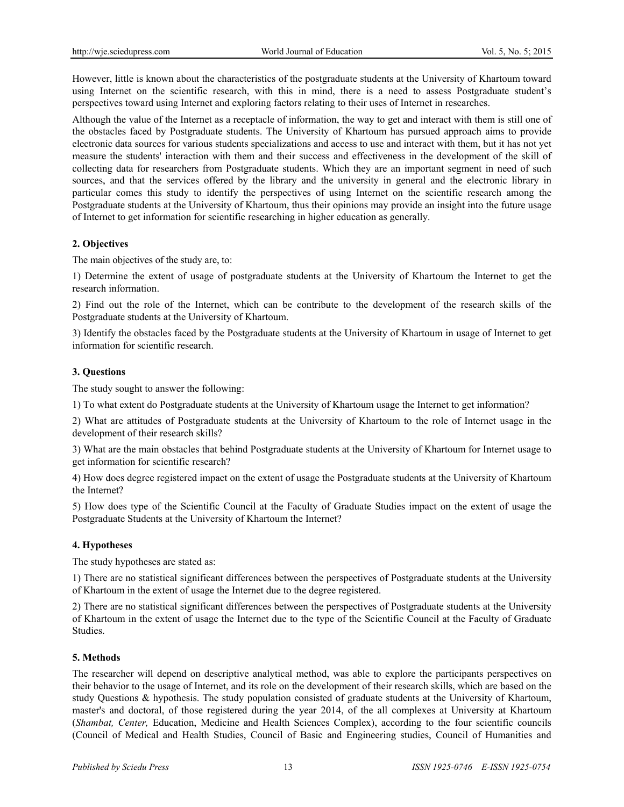However, little is known about the characteristics of the postgraduate students at the University of Khartoum toward using Internet on the scientific research, with this in mind, there is a need to assess Postgraduate student's perspectives toward using Internet and exploring factors relating to their uses of Internet in researches.

Although the value of the Internet as a receptacle of information, the way to get and interact with them is still one of the obstacles faced by Postgraduate students. The University of Khartoum has pursued approach aims to provide electronic data sources for various students specializations and access to use and interact with them, but it has not yet measure the students' interaction with them and their success and effectiveness in the development of the skill of collecting data for researchers from Postgraduate students. Which they are an important segment in need of such sources, and that the services offered by the library and the university in general and the electronic library in particular comes this study to identify the perspectives of using Internet on the scientific research among the Postgraduate students at the University of Khartoum, thus their opinions may provide an insight into the future usage of Internet to get information for scientific researching in higher education as generally.

## **2. Objectives**

The main objectives of the study are, to:

1) Determine the extent of usage of postgraduate students at the University of Khartoum the Internet to get the research information.

2) Find out the role of the Internet, which can be contribute to the development of the research skills of the Postgraduate students at the University of Khartoum.

3) Identify the obstacles faced by the Postgraduate students at the University of Khartoum in usage of Internet to get information for scientific research.

## **3. Questions**

The study sought to answer the following:

1) To what extent do Postgraduate students at the University of Khartoum usage the Internet to get information?

2) What are attitudes of Postgraduate students at the University of Khartoum to the role of Internet usage in the development of their research skills?

3) What are the main obstacles that behind Postgraduate students at the University of Khartoum for Internet usage to get information for scientific research?

4) How does degree registered impact on the extent of usage the Postgraduate students at the University of Khartoum the Internet?

5) How does type of the Scientific Council at the Faculty of Graduate Studies impact on the extent of usage the Postgraduate Students at the University of Khartoum the Internet?

## **4. Hypotheses**

The study hypotheses are stated as:

1) There are no statistical significant differences between the perspectives of Postgraduate students at the University of Khartoum in the extent of usage the Internet due to the degree registered.

2) There are no statistical significant differences between the perspectives of Postgraduate students at the University of Khartoum in the extent of usage the Internet due to the type of the Scientific Council at the Faculty of Graduate Studies.

#### **5. Methods**

The researcher will depend on descriptive analytical method, was able to explore the participants perspectives on their behavior to the usage of Internet, and its role on the development of their research skills, which are based on the study Questions & hypothesis. The study population consisted of graduate students at the University of Khartoum, master's and doctoral, of those registered during the year 2014, of the all complexes at University at Khartoum (*Shambat, Center,* Education, Medicine and Health Sciences Complex), according to the four scientific councils (Council of Medical and Health Studies, Council of Basic and Engineering studies, Council of Humanities and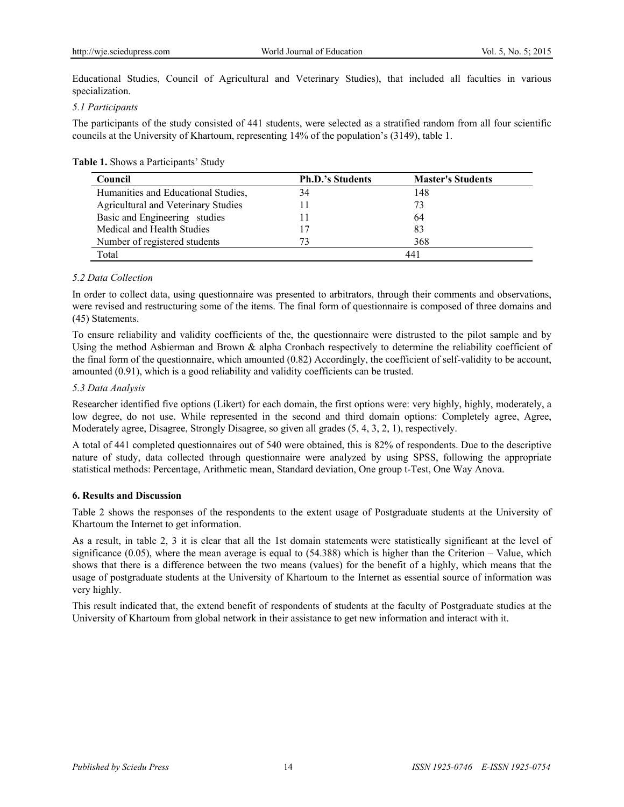Educational Studies, Council of Agricultural and Veterinary Studies), that included all faculties in various specialization.

#### *5.1 Participants*

The participants of the study consisted of 441 students, were selected as a stratified random from all four scientific councils at the University of Khartoum, representing 14% of the population's (3149), table 1.

| Council                             | <b>Ph.D.'s Students</b> | <b>Master's Students</b> |
|-------------------------------------|-------------------------|--------------------------|
| Humanities and Educational Studies, | 34                      | 148                      |
| Agricultural and Veterinary Studies |                         | 73                       |
| Basic and Engineering studies       |                         | 64                       |
| Medical and Health Studies          | 17                      | 83                       |
| Number of registered students       | 73                      | 368                      |
| Total                               |                         | 441                      |

## *5.2 Data Collection*

In order to collect data, using questionnaire was presented to arbitrators, through their comments and observations, were revised and restructuring some of the items. The final form of questionnaire is composed of three domains and (45) Statements.

To ensure reliability and validity coefficients of the, the questionnaire were distrusted to the pilot sample and by Using the method Asbierman and Brown & alpha Cronbach respectively to determine the reliability coefficient of the final form of the questionnaire, which amounted (0.82) Accordingly, the coefficient of self-validity to be account, amounted (0.91), which is a good reliability and validity coefficients can be trusted.

#### *5.3 Data Analysis*

Researcher identified five options (Likert) for each domain, the first options were: very highly, highly, moderately, a low degree, do not use. While represented in the second and third domain options: Completely agree, Agree, Moderately agree, Disagree, Strongly Disagree, so given all grades (5, 4, 3, 2, 1), respectively.

A total of 441 completed questionnaires out of 540 were obtained, this is 82% of respondents. Due to the descriptive nature of study, data collected through questionnaire were analyzed by using SPSS, following the appropriate statistical methods: Percentage, Arithmetic mean, Standard deviation, One group t-Test, One Way Anova.

#### **6. Results and Discussion**

Table 2 shows the responses of the respondents to the extent usage of Postgraduate students at the University of Khartoum the Internet to get information.

As a result, in table 2, 3 it is clear that all the 1st domain statements were statistically significant at the level of significance  $(0.05)$ , where the mean average is equal to  $(54.388)$  which is higher than the Criterion – Value, which shows that there is a difference between the two means (values) for the benefit of a highly, which means that the usage of postgraduate students at the University of Khartoum to the Internet as essential source of information was very highly.

This result indicated that, the extend benefit of respondents of students at the faculty of Postgraduate studies at the University of Khartoum from global network in their assistance to get new information and interact with it.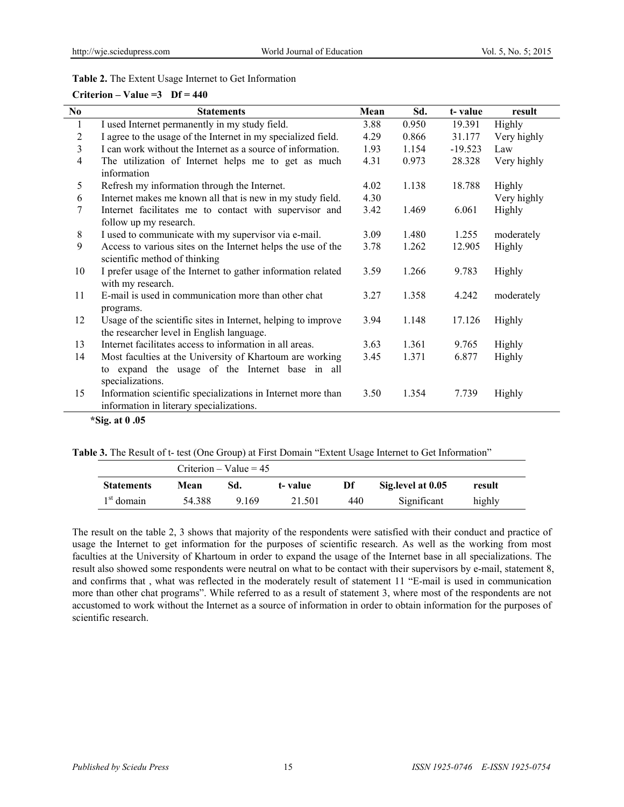### **Table 2.** The Extent Usage Internet to Get Information

## **Criterion – Value =3 Df = 440**

| N <sub>0</sub> | <b>Statements</b>                                             | Mean | Sd.   | t-value   | result      |
|----------------|---------------------------------------------------------------|------|-------|-----------|-------------|
| 1              | I used Internet permanently in my study field.                | 3.88 | 0.950 | 19.391    | Highly      |
| $\overline{2}$ | I agree to the usage of the Internet in my specialized field. | 4.29 | 0.866 | 31.177    | Very highly |
| 3              | I can work without the Internet as a source of information.   | 1.93 | 1.154 | $-19.523$ | Law         |
| $\overline{4}$ | The utilization of Internet helps me to get as much           | 4.31 | 0.973 | 28.328    | Very highly |
|                | information                                                   |      |       |           |             |
| 5              | Refresh my information through the Internet.                  | 4.02 | 1.138 | 18.788    | Highly      |
| 6              | Internet makes me known all that is new in my study field.    | 4.30 |       |           | Very highly |
| 7              | Internet facilitates me to contact with supervisor and        | 3.42 | 1.469 | 6.061     | Highly      |
|                | follow up my research.                                        |      |       |           |             |
| 8              | I used to communicate with my supervisor via e-mail.          | 3.09 | 1.480 | 1.255     | moderately  |
| 9              | Access to various sites on the Internet helps the use of the  | 3.78 | 1.262 | 12.905    | Highly      |
|                | scientific method of thinking                                 |      |       |           |             |
| 10             | I prefer usage of the Internet to gather information related  | 3.59 | 1.266 | 9.783     | Highly      |
|                | with my research.                                             |      |       |           |             |
| 11             | E-mail is used in communication more than other chat          | 3.27 | 1.358 | 4.242     | moderately  |
|                | programs.                                                     |      |       |           |             |
| 12             | Usage of the scientific sites in Internet, helping to improve | 3.94 | 1.148 | 17.126    | Highly      |
|                | the researcher level in English language.                     |      |       |           |             |
| 13             | Internet facilitates access to information in all areas.      | 3.63 | 1.361 | 9.765     | Highly      |
| 14             | Most faculties at the University of Khartoum are working      | 3.45 | 1.371 | 6.877     | Highly      |
|                | to expand the usage of the Internet base in all               |      |       |           |             |
|                | specializations.                                              |      |       |           |             |
| 15             | Information scientific specializations in Internet more than  | 3.50 | 1.354 | 7.739     | Highly      |
|                | information in literary specializations.                      |      |       |           |             |

**\*Sig. at 0 .05** 

**Table 3.** The Result of t- test (One Group) at First Domain "Extent Usage Internet to Get Information"

| Criterion – Value = $45$ |        |         |         |     |                    |        |  |  |
|--------------------------|--------|---------|---------|-----|--------------------|--------|--|--|
| <b>Statements</b>        | Mean   | Sd.     | t-value | Df  | Sig. level at 0.05 | result |  |  |
| 1 <sup>st</sup> domain   | 54.388 | 9 1 6 9 | 21.501  | 440 | Significant        | highly |  |  |

The result on the table 2, 3 shows that majority of the respondents were satisfied with their conduct and practice of usage the Internet to get information for the purposes of scientific research. As well as the working from most faculties at the University of Khartoum in order to expand the usage of the Internet base in all specializations. The result also showed some respondents were neutral on what to be contact with their supervisors by e-mail, statement 8, and confirms that , what was reflected in the moderately result of statement 11 "E-mail is used in communication more than other chat programs". While referred to as a result of statement 3, where most of the respondents are not accustomed to work without the Internet as a source of information in order to obtain information for the purposes of scientific research.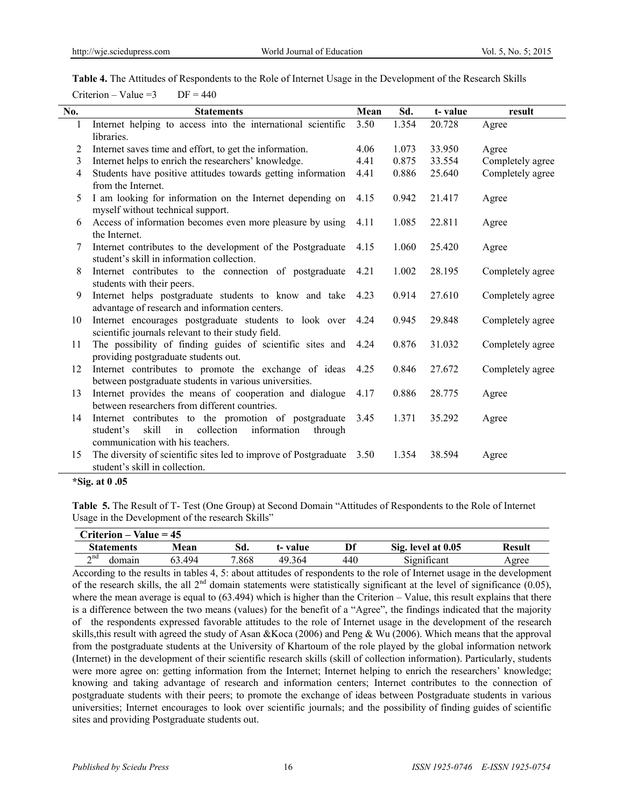**Table 4.** The Attitudes of Respondents to the Role of Internet Usage in the Development of the Research Skills

| Criterion – Value = 3 | $DF = 440$ |
|-----------------------|------------|
|-----------------------|------------|

| No.            | <b>Statements</b>                                                                                                                                             | Mean | Sd.   | t-value | result           |
|----------------|---------------------------------------------------------------------------------------------------------------------------------------------------------------|------|-------|---------|------------------|
| 1              | Internet helping to access into the international scientific<br>libraries.                                                                                    | 3.50 | 1.354 | 20.728  | Agree            |
| 2              | Internet saves time and effort, to get the information.                                                                                                       | 4.06 | 1.073 | 33.950  | Agree            |
| 3              | Internet helps to enrich the researchers' knowledge.                                                                                                          | 4.41 | 0.875 | 33.554  | Completely agree |
| $\overline{4}$ | Students have positive attitudes towards getting information<br>from the Internet.                                                                            | 4.41 | 0.886 | 25.640  | Completely agree |
| 5              | I am looking for information on the Internet depending on<br>myself without technical support.                                                                | 4.15 | 0.942 | 21.417  | Agree            |
| 6              | Access of information becomes even more pleasure by using<br>the Internet.                                                                                    | 4.11 | 1.085 | 22.811  | Agree            |
| 7              | Internet contributes to the development of the Postgraduate<br>student's skill in information collection.                                                     | 4.15 | 1.060 | 25.420  | Agree            |
| 8              | Internet contributes to the connection of postgraduate<br>students with their peers.                                                                          | 4.21 | 1.002 | 28.195  | Completely agree |
| 9              | Internet helps postgraduate students to know and take<br>advantage of research and information centers.                                                       | 4.23 | 0.914 | 27.610  | Completely agree |
| 10             | Internet encourages postgraduate students to look over<br>scientific journals relevant to their study field.                                                  | 4.24 | 0.945 | 29.848  | Completely agree |
| 11             | The possibility of finding guides of scientific sites and<br>providing postgraduate students out.                                                             | 4.24 | 0.876 | 31.032  | Completely agree |
| 12             | Internet contributes to promote the exchange of ideas<br>between postgraduate students in various universities.                                               | 4.25 | 0.846 | 27.672  | Completely agree |
| 13             | Internet provides the means of cooperation and dialogue<br>between researchers from different countries.                                                      | 4.17 | 0.886 | 28.775  | Agree            |
| 14             | Internet contributes to the promotion of postgraduate<br>collection<br>information<br>skill<br>student's<br>in<br>through<br>communication with his teachers. | 3.45 | 1.371 | 35.292  | Agree            |
| 15             | The diversity of scientific sites led to improve of Postgraduate<br>student's skill in collection.                                                            | 3.50 | 1.354 | 38.594  | Agree            |

#### **\*Sig. at 0 .05**

**Table 5.** The Result of T- Test (One Group) at Second Domain "Attitudes of Respondents to the Role of Internet Usage in the Development of the research Skills"

| $Criterion - Value = 45$    |      |       |        |     |                    |        |  |  |  |
|-----------------------------|------|-------|--------|-----|--------------------|--------|--|--|--|
| <b>Statements</b>           | Mean | Sd.   | value  | Df  | Sig. level at 0.05 | Result |  |  |  |
| $\lambda$ nd<br>domain<br>- | 494  | 7.868 | 49.364 | 440 | Significant        | Agree  |  |  |  |

According to the results in tables 4, 5: about attitudes of respondents to the role of Internet usage in the development of the research skills, the all  $2<sup>nd</sup>$  domain statements were statistically significant at the level of significance (0.05), where the mean average is equal to (63.494) which is higher than the Criterion – Value, this result explains that there is a difference between the two means (values) for the benefit of a "Agree", the findings indicated that the majority of the respondents expressed favorable attitudes to the role of Internet usage in the development of the research skills,this result with agreed the study of Asan &Koca (2006) and Peng & Wu (2006). Which means that the approval from the postgraduate students at the University of Khartoum of the role played by the global information network (Internet) in the development of their scientific research skills (skill of collection information). Particularly, students were more agree on: getting information from the Internet; Internet helping to enrich the researchers' knowledge; knowing and taking advantage of research and information centers; Internet contributes to the connection of postgraduate students with their peers; to promote the exchange of ideas between Postgraduate students in various universities; Internet encourages to look over scientific journals; and the possibility of finding guides of scientific sites and providing Postgraduate students out.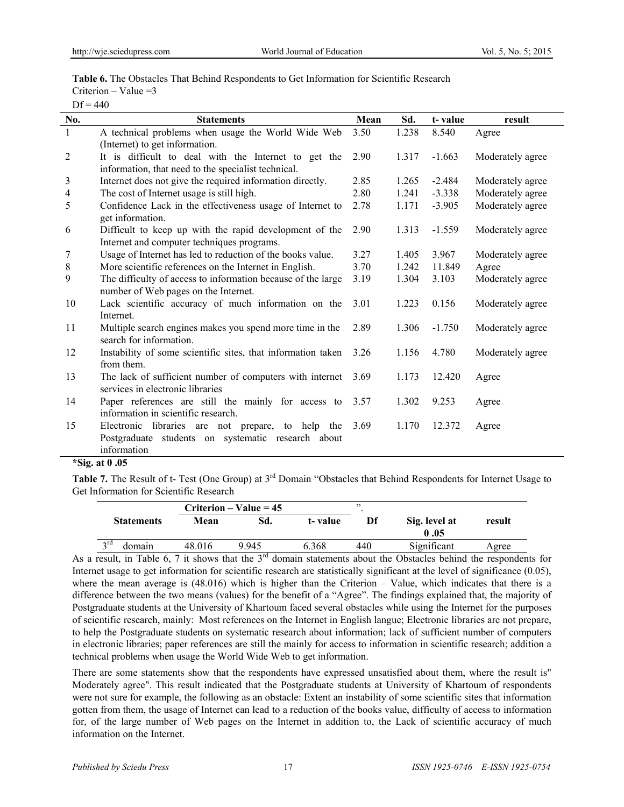|                       | Table 6. The Obstacles That Behind Respondents to Get Information for Scientific Research |  |  |
|-----------------------|-------------------------------------------------------------------------------------------|--|--|
| Criterion – Value = 3 |                                                                                           |  |  |

|  | 1 |
|--|---|
|--|---|

| No.            | <b>Statements</b>                                                             | Mean | Sd.   | t-value  | result           |
|----------------|-------------------------------------------------------------------------------|------|-------|----------|------------------|
| $\mathbf{1}$   | A technical problems when usage the World Wide Web                            | 3.50 | 1.238 | 8.540    | Agree            |
|                | (Internet) to get information.                                                |      |       |          |                  |
| $\mathbf{2}$   | It is difficult to deal with the Internet to get the                          | 2.90 | 1.317 | $-1.663$ | Moderately agree |
|                | information, that need to the specialist technical.                           |      |       |          |                  |
| $\mathfrak{Z}$ | Internet does not give the required information directly.                     | 2.85 | 1.265 | $-2.484$ | Moderately agree |
| 4              | The cost of Internet usage is still high.                                     | 2.80 | 1.241 | $-3.338$ | Moderately agree |
| 5              | Confidence Lack in the effectiveness usage of Internet to<br>get information. | 2.78 | 1.171 | $-3.905$ | Moderately agree |
| 6              | Difficult to keep up with the rapid development of the                        | 2.90 | 1.313 | $-1.559$ | Moderately agree |
|                | Internet and computer techniques programs.                                    |      |       |          |                  |
| 7              | Usage of Internet has led to reduction of the books value.                    | 3.27 | 1.405 | 3.967    | Moderately agree |
| $8\,$          | More scientific references on the Internet in English.                        | 3.70 | 1.242 | 11.849   | Agree            |
| 9              | The difficulty of access to information because of the large                  | 3.19 | 1.304 | 3.103    | Moderately agree |
|                | number of Web pages on the Internet.                                          |      |       |          |                  |
| 10             | Lack scientific accuracy of much information on the                           | 3.01 | 1.223 | 0.156    | Moderately agree |
|                | Internet.                                                                     |      |       |          |                  |
| 11             | Multiple search engines makes you spend more time in the                      | 2.89 | 1.306 | $-1.750$ | Moderately agree |
|                | search for information.                                                       |      |       |          |                  |
| 12             | Instability of some scientific sites, that information taken                  | 3.26 | 1.156 | 4.780    | Moderately agree |
|                | from them.                                                                    |      |       |          |                  |
| 13             | The lack of sufficient number of computers with internet                      | 3.69 | 1.173 | 12.420   | Agree            |
|                | services in electronic libraries                                              |      |       |          |                  |
| 14             | Paper references are still the mainly for access to                           | 3.57 | 1.302 | 9.253    | Agree            |
|                | information in scientific research.                                           |      |       |          |                  |
| 15             | Electronic libraries are not prepare, to help the                             | 3.69 | 1.170 | 12.372   | Agree            |
|                | Postgraduate students on systematic research about                            |      |       |          |                  |
|                | information                                                                   |      |       |          |                  |

#### **\*Sig. at 0 .05**

Table 7. The Result of t- Test (One Group) at 3<sup>rd</sup> Domain "Obstacles that Behind Respondents for Internet Usage to Get Information for Scientific Research

|                       |        | $Criterion - Value = 45$ |         | , ,<br>$\bullet$ |                       |        |
|-----------------------|--------|--------------------------|---------|------------------|-----------------------|--------|
| <b>Statements</b>     | Mean   | Sd.                      | t-value | Df               | Sig. level at<br>0.05 | result |
| $\gamma$ rd<br>domain | 48 016 | 9 9 4 5                  | 6.368   | 440              | Significant           | Agree  |

As a result, in Table 6, 7 it shows that the 3<sup>rd</sup> domain statements about the Obstacles behind the respondents for Internet usage to get information for scientific research are statistically significant at the level of significance (0.05), where the mean average is (48.016) which is higher than the Criterion – Value, which indicates that there is a difference between the two means (values) for the benefit of a "Agree". The findings explained that, the majority of Postgraduate students at the University of Khartoum faced several obstacles while using the Internet for the purposes of scientific research, mainly: Most references on the Internet in English langue; Electronic libraries are not prepare, to help the Postgraduate students on systematic research about information; lack of sufficient number of computers in electronic libraries; paper references are still the mainly for access to information in scientific research; addition a technical problems when usage the World Wide Web to get information.

There are some statements show that the respondents have expressed unsatisfied about them, where the result is" Moderately agree". This result indicated that the Postgraduate students at University of Khartoum of respondents were not sure for example, the following as an obstacle: Extent an instability of some scientific sites that information gotten from them, the usage of Internet can lead to a reduction of the books value, difficulty of access to information for, of the large number of Web pages on the Internet in addition to, the Lack of scientific accuracy of much information on the Internet.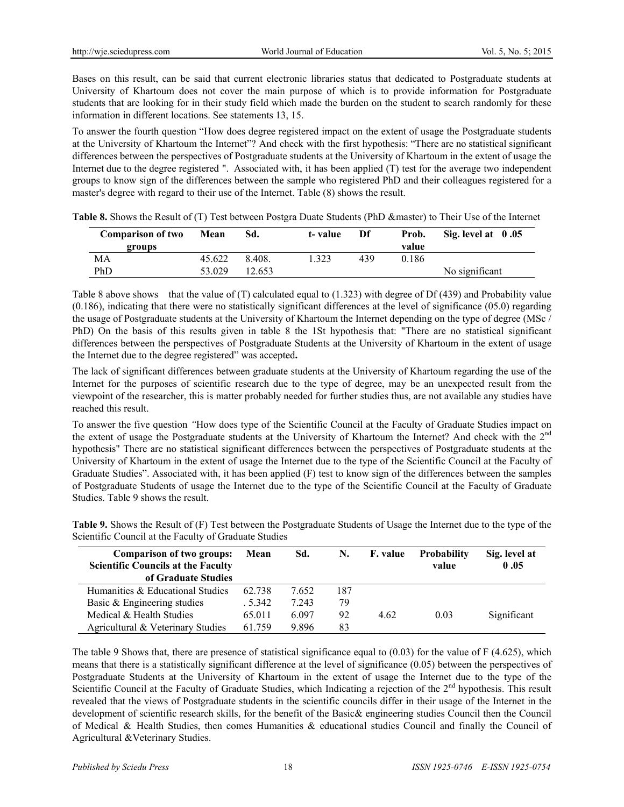Bases on this result, can be said that current electronic libraries status that dedicated to Postgraduate students at University of Khartoum does not cover the main purpose of which is to provide information for Postgraduate students that are looking for in their study field which made the burden on the student to search randomly for these information in different locations. See statements 13, 15.

To answer the fourth question "How does degree registered impact on the extent of usage the Postgraduate students at the University of Khartoum the Internet"? And check with the first hypothesis: "There are no statistical significant differences between the perspectives of Postgraduate students at the University of Khartoum in the extent of usage the Internet due to the degree registered ". Associated with, it has been applied (T) test for the average two independent groups to know sign of the differences between the sample who registered PhD and their colleagues registered for a master's degree with regard to their use of the Internet. Table (8) shows the result.

| Table 8. Shows the Result of (T) Test between Postgra Duate Students (PhD &master) to Their Use of the Internet |  |  |  |  |  |  |  |  |  |
|-----------------------------------------------------------------------------------------------------------------|--|--|--|--|--|--|--|--|--|
|-----------------------------------------------------------------------------------------------------------------|--|--|--|--|--|--|--|--|--|

| <b>Comparison of two</b><br>groups | Mean   | Sd.    | t-value | Df  | Prob.<br>value | Sig. level at $0.05$ |
|------------------------------------|--------|--------|---------|-----|----------------|----------------------|
| MA                                 | 45.622 | 8.408. | 323     | 439 | 0.186          |                      |
| PhD                                | 53.029 | 12.653 |         |     |                | No significant       |

Table 8 above shows that the value of (T) calculated equal to (1.323) with degree of Df (439) and Probability value  $(0.186)$ , indicating that there were no statistically significant differences at the level of significance  $(05.0)$  regarding the usage of Postgraduate students at the University of Khartoum the Internet depending on the type of degree (MSc / PhD) On the basis of this results given in table 8 the 1St hypothesis that: "There are no statistical significant differences between the perspectives of Postgraduate Students at the University of Khartoum in the extent of usage the Internet due to the degree registered" was accepted**.** 

The lack of significant differences between graduate students at the University of Khartoum regarding the use of the Internet for the purposes of scientific research due to the type of degree, may be an unexpected result from the viewpoint of the researcher, this is matter probably needed for further studies thus, are not available any studies have reached this result.

To answer the five question *"*How does type of the Scientific Council at the Faculty of Graduate Studies impact on the extent of usage the Postgraduate students at the University of Khartoum the Internet? And check with the 2<sup>nd</sup> hypothesis" There are no statistical significant differences between the perspectives of Postgraduate students at the University of Khartoum in the extent of usage the Internet due to the type of the Scientific Council at the Faculty of Graduate Studies". Associated with, it has been applied (F) test to know sign of the differences between the samples of Postgraduate Students of usage the Internet due to the type of the Scientific Council at the Faculty of Graduate Studies. Table 9 shows the result.

| <b>Comparison of two groups:</b><br><b>Scientific Councils at the Faculty</b><br>of Graduate Studies | Mean   | Sd.   | N.  | F. value | <b>Probability</b><br>value | Sig. level at<br>0.05 |
|------------------------------------------------------------------------------------------------------|--------|-------|-----|----------|-----------------------------|-----------------------|
| Humanities & Educational Studies                                                                     | 62.738 | 7.652 | 187 |          |                             |                       |
| Basic & Engineering studies                                                                          | .5.342 | 7.243 | 79  |          |                             |                       |
| Medical & Health Studies                                                                             | 65.011 | 6.097 | 92  | 4.62     | 0.03                        | Significant           |
| Agricultural & Veterinary Studies                                                                    | 61 759 | 9.896 | 83  |          |                             |                       |

**Table 9.** Shows the Result of (F) Test between the Postgraduate Students of Usage the Internet due to the type of the Scientific Council at the Faculty of Graduate Studies

The table 9 Shows that, there are presence of statistical significance equal to (0.03) for the value of F (4.625), which means that there is a statistically significant difference at the level of significance (0.05) between the perspectives of Postgraduate Students at the University of Khartoum in the extent of usage the Internet due to the type of the Scientific Council at the Faculty of Graduate Studies, which Indicating a rejection of the 2<sup>nd</sup> hypothesis. This result revealed that the views of Postgraduate students in the scientific councils differ in their usage of the Internet in the development of scientific research skills, for the benefit of the Basic& engineering studies Council then the Council of Medical & Health Studies, then comes Humanities & educational studies Council and finally the Council of Agricultural &Veterinary Studies.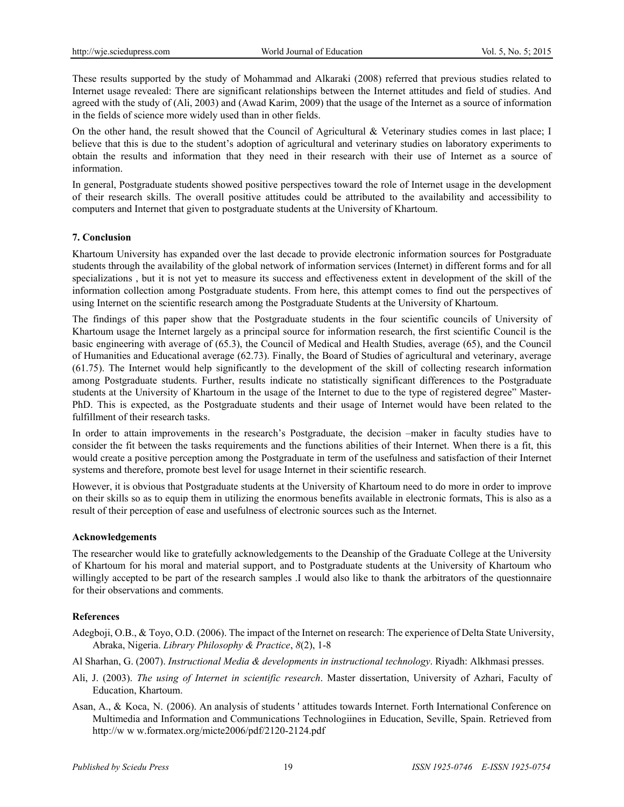These results supported by the study of Mohammad and Alkaraki (2008) referred that previous studies related to Internet usage revealed: There are significant relationships between the Internet attitudes and field of studies. And agreed with the study of (Ali, 2003) and (Awad Karim, 2009) that the usage of the Internet as a source of information in the fields of science more widely used than in other fields.

On the other hand, the result showed that the Council of Agricultural & Veterinary studies comes in last place; I believe that this is due to the student's adoption of agricultural and veterinary studies on laboratory experiments to obtain the results and information that they need in their research with their use of Internet as a source of information.

In general, Postgraduate students showed positive perspectives toward the role of Internet usage in the development of their research skills. The overall positive attitudes could be attributed to the availability and accessibility to computers and Internet that given to postgraduate students at the University of Khartoum.

#### **7. Conclusion**

Khartoum University has expanded over the last decade to provide electronic information sources for Postgraduate students through the availability of the global network of information services (Internet) in different forms and for all specializations , but it is not yet to measure its success and effectiveness extent in development of the skill of the information collection among Postgraduate students. From here, this attempt comes to find out the perspectives of using Internet on the scientific research among the Postgraduate Students at the University of Khartoum.

The findings of this paper show that the Postgraduate students in the four scientific councils of University of Khartoum usage the Internet largely as a principal source for information research, the first scientific Council is the basic engineering with average of (65.3), the Council of Medical and Health Studies, average (65), and the Council of Humanities and Educational average (62.73). Finally, the Board of Studies of agricultural and veterinary, average (61.75). The Internet would help significantly to the development of the skill of collecting research information among Postgraduate students. Further, results indicate no statistically significant differences to the Postgraduate students at the University of Khartoum in the usage of the Internet to due to the type of registered degree" Master-PhD. This is expected, as the Postgraduate students and their usage of Internet would have been related to the fulfillment of their research tasks.

In order to attain improvements in the research's Postgraduate, the decision –maker in faculty studies have to consider the fit between the tasks requirements and the functions abilities of their Internet. When there is a fit, this would create a positive perception among the Postgraduate in term of the usefulness and satisfaction of their Internet systems and therefore, promote best level for usage Internet in their scientific research.

However, it is obvious that Postgraduate students at the University of Khartoum need to do more in order to improve on their skills so as to equip them in utilizing the enormous benefits available in electronic formats, This is also as a result of their perception of ease and usefulness of electronic sources such as the Internet.

#### **Acknowledgements**

The researcher would like to gratefully acknowledgements to the Deanship of the Graduate College at the University of Khartoum for his moral and material support, and to Postgraduate students at the University of Khartoum who willingly accepted to be part of the research samples .I would also like to thank the arbitrators of the questionnaire for their observations and comments.

#### **References**

Adegboji, O.B., & Toyo, O.D. (2006). The impact of the Internet on research: The experience of Delta State University, Abraka, Nigeria. *Library Philosophy & Practice*, *8*(2), 1-8

Al Sharhan, G. (2007). *Instructional Media & developments in instructional technology*. Riyadh: Alkhmasi presses.

- Ali, J. (2003). *The using of Internet in scientific research*. Master dissertation, University of Azhari, Faculty of Education, Khartoum.
- Asan, A., & Koca, N. (2006). An analysis of students ' attitudes towards Internet. Forth International Conference on Multimedia and Information and Communications Technologiines in Education, Seville, Spain. Retrieved from http://w w w.formatex.org/micte2006/pdf/2120-2124.pdf